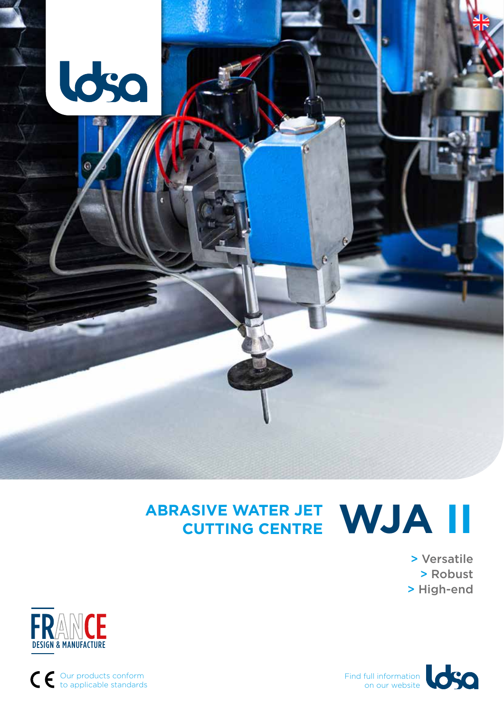

# **ABRASIVE WATER JET CUTTING CENTRE WJA II**

> Versatile > Robust > High-end





Our products conform to applicable standards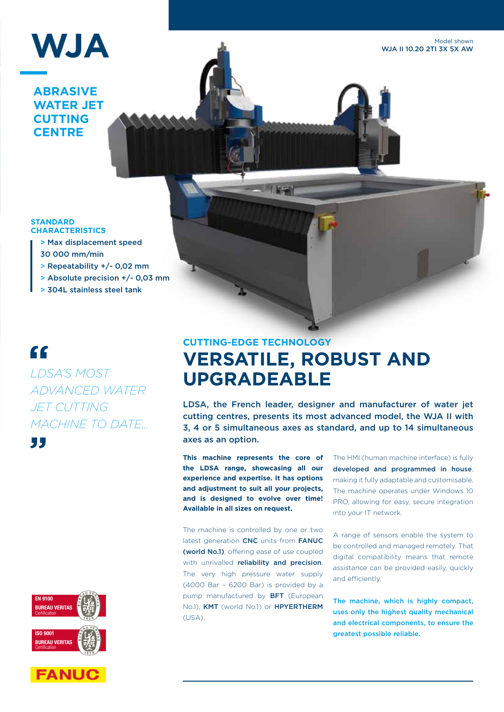

**ABRASIVE WATER JET CUTTING CENTRE**

Model shown WJA II 10.20 2TI 3X 5X AW

#### **STANDARD CHARACTERISTICS**

- > Max displacement speed
- 30 000 mm/min
- > Repeatability +/- 0,02 mm
- > Absolute precision +/- 0,03 mm
- > 304L stainless steel tank

### $\epsilon$

"

*LDSA'S MOST ADVANCED WATER JET CUTTING MACHINE TO DATE...*





### **CUTTING-EDGE TECHNOLOGY VERSATILE, ROBUST AND UPGRADEABLE**

LDSA, the French leader, designer and manufacturer of water jet cutting centres, presents its most advanced model, the WJA II with 3, 4 or 5 simultaneous axes as standard, and up to 14 simultaneous axes as an option.

**This machine represents the core of the LDSA range, showcasing all our experience and expertise. It has options and adjustment to suit all your projects, and is designed to evolve over time! Available in all sizes on request.**

The machine is controlled by one or two latest generation CNC units from FANUC (world No.1), offering ease of use coupled with unrivalled reliability and precision. The very high pressure water supply (4000 Bar – 6200 Bar) is provided by a pump manufactured by BFT (European No.1), KMT (world No.1) or HPYERTHERM  $(USA)$ 

The HMI (human machine interface) is fully developed and programmed in house, making it fully adaptable and customisable. The machine operates under Windows 10 PRO, allowing for easy, secure integration into your IT network.

A range of sensors enable the system to be controlled and managed remotely. That digital compatibility means that remote assistance can be provided easily, quickly and efficiently.

The machine, which is highly compact, uses only the highest quality mechanical and electrical components, to ensure the greatest possible reliable.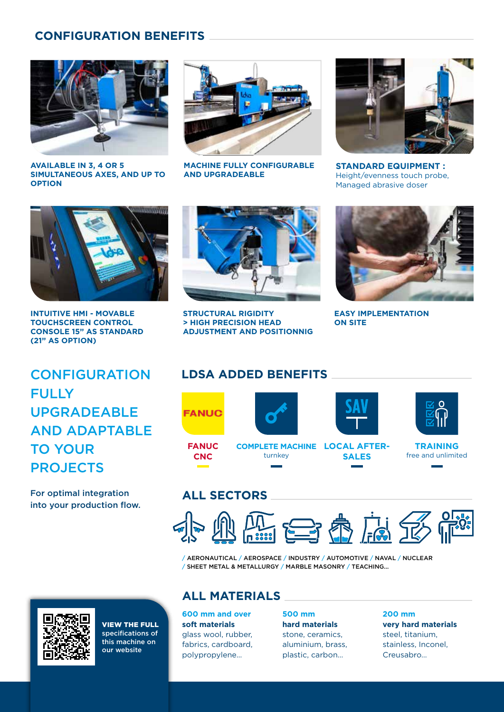### **CONFIGURATION BENEFITS**



**AVAILABLE IN 3, 4 OR 5 SIMULTANEOUS AXES, AND UP TO OPTION**



**MACHINE FULLY CONFIGURABLE AND UPGRADEABLE**



**STANDARD EQUIPMENT :** Height/evenness touch probe, Managed abrasive doser



**INTUITIVE HMI - MOVABLE TOUCHSCREEN CONTROL CONSOLE 15" AS STANDARD (21" AS OPTION)**



**STRUCTURAL RIGIDITY > HIGH PRECISION HEAD ADJUSTMENT AND POSITIONNIG**



**EASY IMPLEMENTATION ON SITE**

**CONFIGURATION FULLY** UPGRADEABLE AND ADAPTABLE TO YOUR **PROJECTS** 

For optimal integration into your production flow.





turnkey



**LOCAL AFTER-COMPLETE MACHINE**



**SALES**



**TRAINING** free and unlimited

### **ALL SECTORS**

**FANUC CNC**



/ AERONAUTICAL / AEROSPACE / INDUSTRY / AUTOMOTIVE / NAVAL / NUCLEAR / SHEET METAL & METALLURGY / MARBLE MASONRY / TEACHING...

VIEW THE FULL specifications of this machine on our website

### **ALL MATERIALS**

**600 mm and over soft materials** glass wool, rubber, fabrics, cardboard, polypropylene…

**500 mm hard materials** stone, ceramics, aluminium, brass, plastic, carbon…

**200 mm very hard materials** steel, titanium, stainless, Inconel, Creusabro…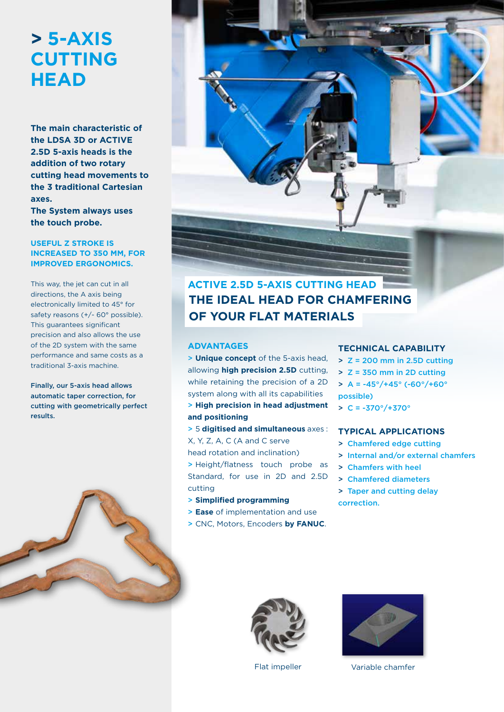## **> 5-AXIS CUTTING HEAD**

**The main characteristic of the LDSA 3D or ACTIVE 2.5D 5-axis heads is the addition of two rotary cutting head movements to the 3 traditional Cartesian axes.**

**The System always uses the touch probe.**

#### **USEFUL Z STROKE IS INCREASED TO 350 MM, FOR IMPROVED ERGONOMICS.**

This way, the jet can cut in all directions, the A axis being electronically limited to 45° for safety reasons (+/- 60° possible). This guarantees significant precision and also allows the use of the 2D system with the same performance and same costs as a traditional 3-axis machine.

Finally, our 5-axis head allows automatic taper correction, for cutting with geometrically perfect results.





### **THE IDEAL HEAD FOR CHAMFERING OF YOUR FLAT MATERIALS ACTIVE 2.5D 5-AXIS CUTTING HEAD**

#### **ADVANTAGES**

> **Unique concept** of the 5-axis head, allowing **high precision 2.5D** cutting, while retaining the precision of a 2D system along with all its capabilities

> **High precision in head adjustment and positioning**

> 5 **digitised and simultaneous** axes : X, Y, Z, A, C (A and C serve

- head rotation and inclination)
- > Height/flatness touch probe as Standard, for use in 2D and 2.5D cutting
- > **Simplified programming**
- > **Ease** of implementation and use
- > CNC, Motors, Encoders **by FANUC**.

#### **TECHNICAL CAPABILITY**

- $>$  Z = 200 mm in 2.5D cutting
- > Z = 350 mm in 2D cutting
- $> A = -45^{\circ}/+45^{\circ}$  (-60 $^{\circ}/+60^{\circ}$ possible)
- $> C = -370^{\circ}/+370^{\circ}$

#### **TYPICAL APPLICATIONS**

- > Chamfered edge cutting
- > Internal and/or external chamfers
- > Chamfers with heel
- > Chamfered diameters
- > Taper and cutting delay correction.





Flat impeller **Variable chamfer**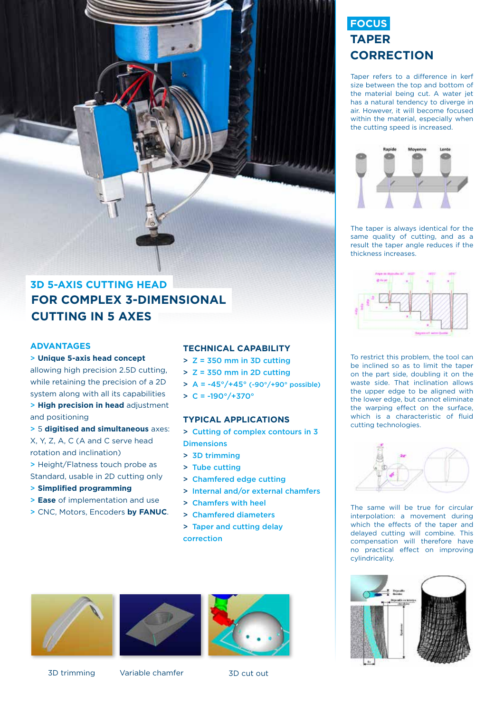### **FOCUS TAPER CORRECTION**

Taper refers to a difference in kerf size between the top and bottom of the material being cut. A water jet has a natural tendency to diverge in air. However, it will become focused within the material, especially when the cutting speed is increased.



The taper is always identical for the same quality of cutting, and as a result the taper angle reduces if the thickness increases.



To restrict this problem, the tool can be inclined so as to limit the taper on the part side, doubling it on the waste side. That inclination allows the upper edge to be aligned with the lower edge, but cannot eliminate the warping effect on the surface, which is a characteristic of fluid cutting technologies.



The same will be true for circular interpolation: a movement during which the effects of the taper and delayed cutting will combine. This compensation will therefore have no practical effect on improving cylindricality.



### **FOR COMPLEX 3-DIMENSIONAL CUTTING IN 5 AXES 3D 5-AXIS CUTTING HEAD**

#### **ADVANTAGES**

> **Unique 5-axis head concept**

allowing high precision 2.5D cutting, while retaining the precision of a 2D system along with all its capabilities

> **High precision in head** adjustment and positioning

> 5 **digitised and simultaneous** axes: X, Y, Z, A, C (A and C serve head rotation and inclination)

> Height/Flatness touch probe as Standard, usable in 2D cutting only

- > **Simplified programming**
- > **Ease** of implementation and use
- > CNC, Motors, Encoders **by FANUC**.

#### **TECHNICAL CAPABILITY**

- > Z = 350 mm in 3D cutting
- > Z = 350 mm in 2D cutting
- $> A = -45^{\circ}/+45^{\circ}$  (-90 $^{\circ}/+90^{\circ}$  possible)
- $> C = -190^{\circ}/+370^{\circ}$

#### **TYPICAL APPLICATIONS**

- > Cutting of complex contours in 3 **Dimensions**
- > 3D trimming
- > Tube cutting
- > Chamfered edge cutting
- > Internal and/or external chamfers
- > Chamfers with heel
- > Chamfered diameters
- > Taper and cutting delay correction







3D trimming Variable chamfer 3D cut out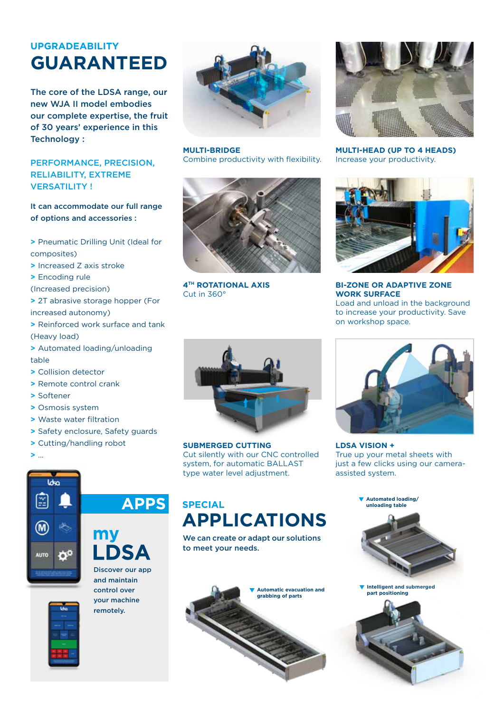### **UPGRADEABILITY GUARANTEED**

The core of the LDSA range, our new WJA II model embodies our complete expertise, the fruit of 30 years' experience in this Technology :

#### PERFORMANCE, PRECISION, RELIABILITY, EXTREME VERSATILITY !

#### It can accommodate our full range of options and accessories :

**>** Pneumatic Drilling Unit (Ideal for composites)

- **>** Increased Z axis stroke
- **>** Encoding rule

(Increased precision)

**>** 2T abrasive storage hopper (For

increased autonomy)

- **>** Reinforced work surface and tank (Heavy load)
- **>** Automated loading/unloading table
- **>** Collision detector
- **>** Remote control crank
- **>** Softener
- **>** Osmosis system
- **>** Waste water filtration
- **>** Safety enclosure, Safety guards
- **>** Cutting/handling robot
- **>** …



**MULTI-BRIDGE** Combine productivity with flexibility.



**4TH ROTATIONAL AXIS** Cut in 360°



**MULTI-HEAD (UP TO 4 HEADS)** Increase your productivity.



**BI-ZONE OR ADAPTIVE ZONE WORK SURFACE** Load and unload in the background to increase your productivity. Save

on workshop space.



**SUBMERGED CUTTING** Cut silently with our CNC controlled system, for automatic BALLAST type water level adjustment.



**LDSA VISION +** True up your metal sheets with just a few clicks using our cameraassisted system.

**Automated loading/ unloading table**





**APPS** 

Discover our app and maintain control over your machine remotely.

### **SPECIAL APPLICATIONS**

We can create or adapt our solutions to meet your needs.





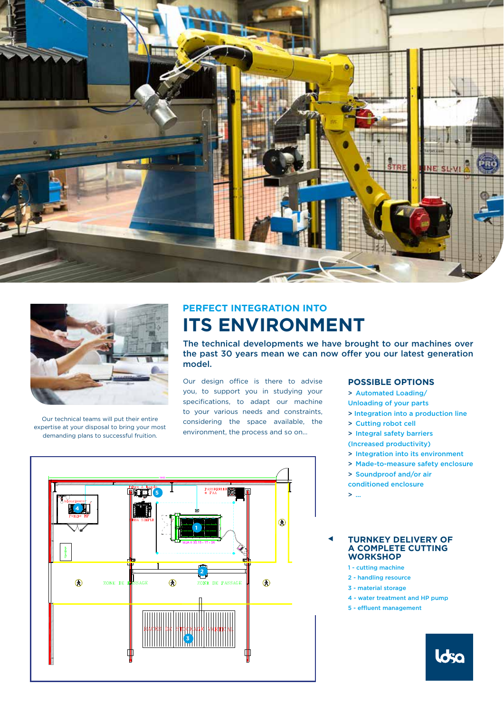



Our technical teams will put their entire expertise at your disposal to bring your most demanding plans to successful fruition.

### **PERFECT INTEGRATION INTO ITS ENVIRONMENT**

The technical developments we have brought to our machines over the past 30 years mean we can now offer you our latest generation model.

Our design office is there to advise you, to support you in studying your specifications, to adapt our machine to your various needs and constraints, considering the space available, the environment, the process and so on…

#### **POSSIBLE OPTIONS**

- > Automated Loading/
- Unloading of your parts
- > Integration into a production line
- > Cutting robot cell
- > Integral safety barriers
- (Increased productivity)
- > Integration into its environment
- > Made-to-measure safety enclosure
- > Soundproof and/or air
- conditioned enclosure
- > …

#### **TURNKEY DELIVERY OF A COMPLETE CUTTING WORKSHOP**

- 1 cutting machine
- 2 handling resource
- 3 material storage
- 4 water treatment and HP pump
- 5 effluent management